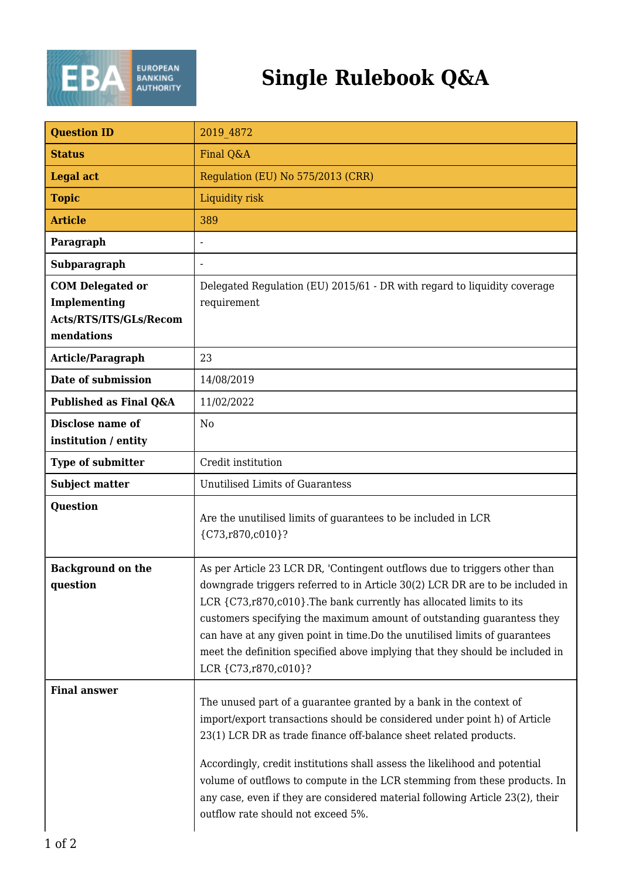

## **Single Rulebook Q&A**

| <b>Question ID</b>                                                              | 2019 4872                                                                                                                                                                                                                                                                                                                                                                                                                                                                                              |
|---------------------------------------------------------------------------------|--------------------------------------------------------------------------------------------------------------------------------------------------------------------------------------------------------------------------------------------------------------------------------------------------------------------------------------------------------------------------------------------------------------------------------------------------------------------------------------------------------|
| <b>Status</b>                                                                   | Final Q&A                                                                                                                                                                                                                                                                                                                                                                                                                                                                                              |
| <b>Legal act</b>                                                                | Regulation (EU) No 575/2013 (CRR)                                                                                                                                                                                                                                                                                                                                                                                                                                                                      |
| <b>Topic</b>                                                                    | Liquidity risk                                                                                                                                                                                                                                                                                                                                                                                                                                                                                         |
| <b>Article</b>                                                                  | 389                                                                                                                                                                                                                                                                                                                                                                                                                                                                                                    |
| Paragraph                                                                       |                                                                                                                                                                                                                                                                                                                                                                                                                                                                                                        |
| Subparagraph                                                                    |                                                                                                                                                                                                                                                                                                                                                                                                                                                                                                        |
| <b>COM Delegated or</b><br>Implementing<br>Acts/RTS/ITS/GLs/Recom<br>mendations | Delegated Regulation (EU) 2015/61 - DR with regard to liquidity coverage<br>requirement                                                                                                                                                                                                                                                                                                                                                                                                                |
| Article/Paragraph                                                               | 23                                                                                                                                                                                                                                                                                                                                                                                                                                                                                                     |
| Date of submission                                                              | 14/08/2019                                                                                                                                                                                                                                                                                                                                                                                                                                                                                             |
| Published as Final Q&A                                                          | 11/02/2022                                                                                                                                                                                                                                                                                                                                                                                                                                                                                             |
| <b>Disclose name of</b><br>institution / entity                                 | N <sub>0</sub>                                                                                                                                                                                                                                                                                                                                                                                                                                                                                         |
| Type of submitter                                                               | Credit institution                                                                                                                                                                                                                                                                                                                                                                                                                                                                                     |
| <b>Subject matter</b>                                                           | <b>Unutilised Limits of Guarantess</b>                                                                                                                                                                                                                                                                                                                                                                                                                                                                 |
| Question                                                                        | Are the unutilised limits of guarantees to be included in LCR<br>{C73, r870, c010}?                                                                                                                                                                                                                                                                                                                                                                                                                    |
| <b>Background on the</b><br>question                                            | As per Article 23 LCR DR, 'Contingent outflows due to triggers other than<br>downgrade triggers referred to in Article 30(2) LCR DR are to be included in<br>LCR {C73,r870,c010}. The bank currently has allocated limits to its<br>customers specifying the maximum amount of outstanding guarantess they<br>can have at any given point in time. Do the unutilised limits of guarantees<br>meet the definition specified above implying that they should be included in<br>LCR {C73, r870, c010}?    |
| <b>Final answer</b>                                                             | The unused part of a guarantee granted by a bank in the context of<br>import/export transactions should be considered under point h) of Article<br>23(1) LCR DR as trade finance off-balance sheet related products.<br>Accordingly, credit institutions shall assess the likelihood and potential<br>volume of outflows to compute in the LCR stemming from these products. In<br>any case, even if they are considered material following Article 23(2), their<br>outflow rate should not exceed 5%. |